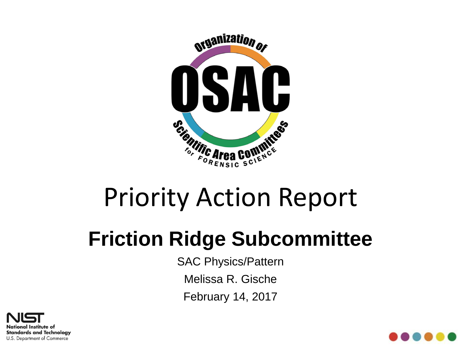

# Priority Action Report

### **Friction Ridge Subcommittee**

SAC Physics/Pattern

Melissa R. Gische

February 14, 2017



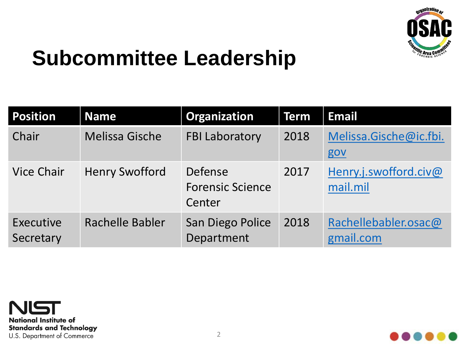

#### **Subcommittee Leadership**

| <b>Position</b>        | <b>Name</b>           | <b>Organization</b>                          | Term | <b>Email</b>                      |
|------------------------|-----------------------|----------------------------------------------|------|-----------------------------------|
| Chair                  | <b>Melissa Gische</b> | <b>FBI Laboratory</b>                        | 2018 | Melissa.Gische@ic.fbi.<br>gov     |
| <b>Vice Chair</b>      | <b>Henry Swofford</b> | Defense<br><b>Forensic Science</b><br>Center | 2017 | Henry.j.swofford.civ@<br>mail.mil |
| Executive<br>Secretary | Rachelle Babler       | San Diego Police<br>Department               | 2018 | Rachellebabler.osac@<br>gmail.com |



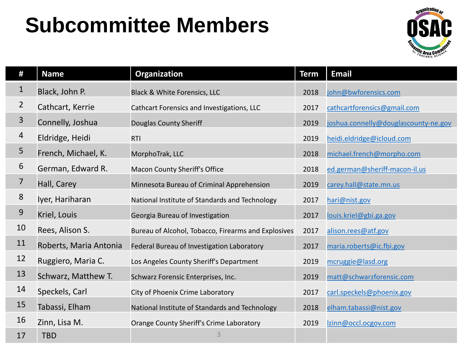### **Subcommittee Members**



| #              | <b>Name</b>            | Organization                                        | <b>Term</b> | <b>Email</b>                         |
|----------------|------------------------|-----------------------------------------------------|-------------|--------------------------------------|
| $\mathbf{1}$   | Black, John P.         | Black & White Forensics, LLC                        | 2018        | john@bwforensics.com                 |
| $\overline{2}$ | Cathcart, Kerrie       | Cathcart Forensics and Investigations, LLC          | 2017        | cathcartforensics@gmail.com          |
| 3              | Connelly, Joshua       | <b>Douglas County Sheriff</b>                       | 2019        | joshua.connelly@douglascounty-ne.gov |
| 4              | Eldridge, Heidi        | <b>RTI</b>                                          | 2019        | heidi.eldridge@icloud.com            |
| 5              | French, Michael, K.    | MorphoTrak, LLC                                     | 2018        | michael.french@morpho.com            |
| 6              | German, Edward R.      | <b>Macon County Sheriff's Office</b>                | 2018        | ed.german@sheriff-macon-il.us        |
| 7              | Hall, Carey            | Minnesota Bureau of Criminal Apprehension           | 2019        | carey.hall@state.mn.us               |
| $8\,$          | Iyer, Hariharan        | National Institute of Standards and Technology      | 2017        | hari@nist.gov                        |
| 9              | Kriel, Louis           | Georgia Bureau of Investigation                     | 2017        | louis.kriel@gbi.ga.gov               |
| 10             | Rees, Alison S.        | Bureau of Alcohol, Tobacco, Firearms and Explosives | 2017        | alison.rees@atf.gov                  |
| 11             | Roberts, Maria Antonia | Federal Bureau of Investigation Laboratory          | 2017        | maria.roberts@ic.fbi.gov             |
| 12             | Ruggiero, Maria C.     | Los Angeles County Sheriff's Department             | 2019        | mcruggie@lasd.org                    |
| 13             | Schwarz, Matthew T.    | Schwarz Forensic Enterprises, Inc.                  | 2019        | matt@schwarzforensic.com             |
| 14             | Speckels, Carl         | City of Phoenix Crime Laboratory                    | 2017        | carl.speckels@phoenix.gov            |
| 15             | Tabassi, Elham         | National Institute of Standards and Technology      | 2018        | elham.tabassi@nist.gov               |
| 16             | Zinn, Lisa M.          | Orange County Sheriff's Crime Laboratory            | 2019        | lzinn@occl.ocgov.com                 |
| 17             | <b>TBD</b>             | 3                                                   |             |                                      |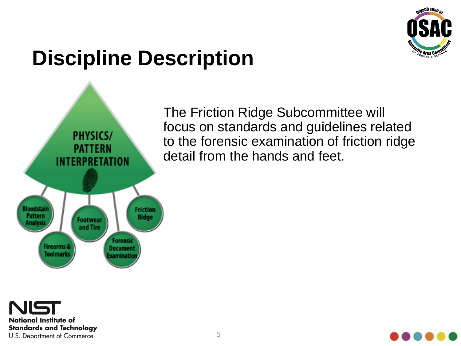

### **Discipline Description**



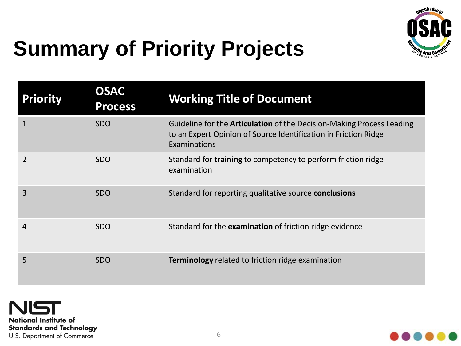

## **Summary of Priority Projects**

| <b>Priority</b> | <b>OSAC</b><br><b>Process</b> | <b>Working Title of Document</b>                                                                                                                                |
|-----------------|-------------------------------|-----------------------------------------------------------------------------------------------------------------------------------------------------------------|
|                 | <b>SDO</b>                    | Guideline for the <b>Articulation</b> of the Decision-Making Process Leading<br>to an Expert Opinion of Source Identification in Friction Ridge<br>Examinations |
| $\overline{2}$  | <b>SDO</b>                    | Standard for <b>training</b> to competency to perform friction ridge<br>examination                                                                             |
| 3               | <b>SDO</b>                    | Standard for reporting qualitative source conclusions                                                                                                           |
| 4               | <b>SDO</b>                    | Standard for the examination of friction ridge evidence                                                                                                         |
| 5               | <b>SDO</b>                    | <b>Terminology</b> related to friction ridge examination                                                                                                        |

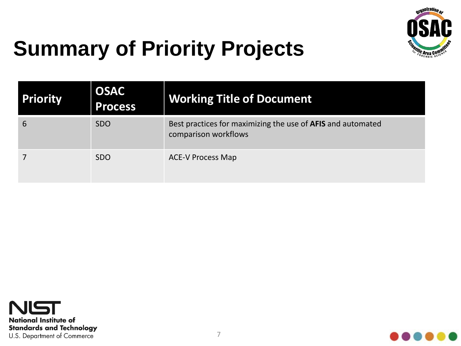

## **Summary of Priority Projects**

| <b>Priority</b> | <b>OSAC</b><br><b>Process</b> | <b>Working Title of Document</b>                                                    |
|-----------------|-------------------------------|-------------------------------------------------------------------------------------|
| 6               | <b>SDO</b>                    | Best practices for maximizing the use of AFIS and automated<br>comparison workflows |
|                 | <b>SDO</b>                    | <b>ACE-V Process Map</b>                                                            |



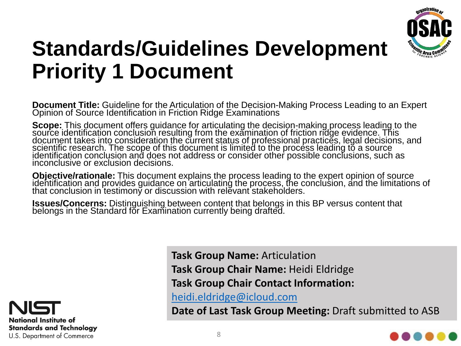

#### **Standards/Guidelines Development Priority 1 Document**

**Document Title:** Guideline for the Articulation of the Decision-Making Process Leading to an Expert Opinion of Source Identification in Friction Ridge Examinations

**Scope:** This document offers guidance for articulating the decision-making process leading to the<br>source identification conclusion resulting from the examination of friction ridge evidence. This document takes into consideration the current status of professional practices, legal decisions, and scientific research. The scope of this document is limited to the process leading to a source identification conclusion and does not address or consider other possible conclusions, such as inconclusive or exclusion decisions.

**Objective/rationale:** This document explains the process leading to the expert opinion of source<br>identification and provides guidance on articulating the process, the conclusion, and the limitations of that conclusion in testimony or discussion with relevant stakeholders.

**Issues/Concerns:** Distinguishing between content that belongs in this BP versus content that belongs in the Standard for Examination currently being drafted.



**Task Group Name:** Articulation **Task Group Chair Name:** Heidi Eldridge **Task Group Chair Contact Information:**  [heidi.eldridge@icloud.com](mailto:heidi.eldridge@icloud.com) **Date of Last Task Group Meeting:** Draft submitted to ASB

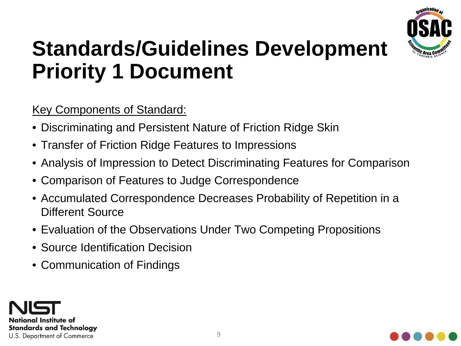

#### **Standards/Guidelines Development Priority 1 Document**

**Key Components of Standard:** 

- Discriminating and Persistent Nature of Friction Ridge Skin
- Transfer of Friction Ridge Features to Impressions
- Analysis of Impression to Detect Discriminating Features for Comparison
- Comparison of Features to Judge Correspondence
- Accumulated Correspondence Decreases Probability of Repetition in a Different Source
- Evaluation of the Observations Under Two Competing Propositions
- Source Identification Decision
- Communication of Findings



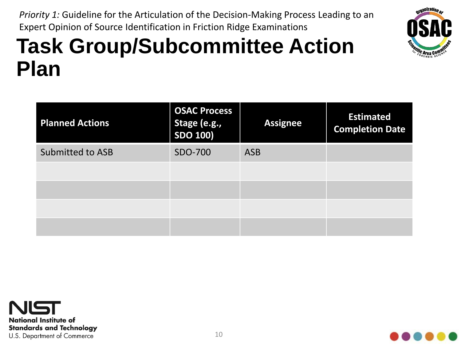

*Priority 1:* Guideline for the Articulation of the Decision-Making Process Leading to an Expert Opinion of Source Identification in Friction Ridge Examinations

| <b>Planned Actions</b>  | <b>OSAC Process</b><br>Stage (e.g.,<br><b>SDO 100)</b> | <b>Assignee</b> | <b>Estimated</b><br><b>Completion Date</b> |
|-------------------------|--------------------------------------------------------|-----------------|--------------------------------------------|
| <b>Submitted to ASB</b> | SDO-700                                                | <b>ASB</b>      |                                            |
|                         |                                                        |                 |                                            |
|                         |                                                        |                 |                                            |
|                         |                                                        |                 |                                            |
|                         |                                                        |                 |                                            |



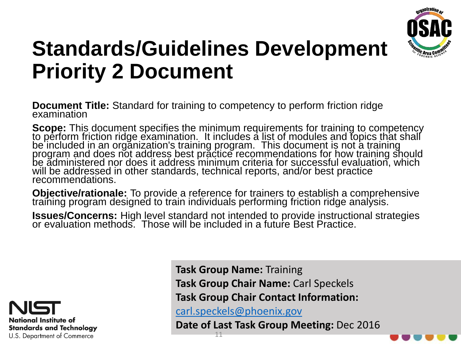

### **Standards/Guidelines Development Priority 2 Document**

**Document Title:** Standard for training to competency to perform friction ridge examination

**Scope:** This document specifies the minimum requirements for training to competency<br>to perform friction ridge examination. It includes a <u>li</u>st of modules and topics that shall be included in an organization's training program. This document is not a training program and does not address best practice recommendations for how training should be administered nor does it address minimum criteria for successful evaluation, which will be addressed in other standards, technical reports, and/or best practice recommendations.

**Objective/rationale:** To provide a reference for trainers to establish a comprehensive training program designed to train individuals performing friction ridge analysis.

**Issues/Concerns:** High level standard not intended to provide instructional strategies or evaluation methods. Those will be included in a future Best Practice.



**Task Group Name:** Training **Task Group Chair Name:** Carl Speckels **Task Group Chair Contact Information:**  [carl.speckels@phoenix.gov](mailto:carl.speckels@phoenix.gov)

**Date of Last Task Group Meeting:** Dec 2016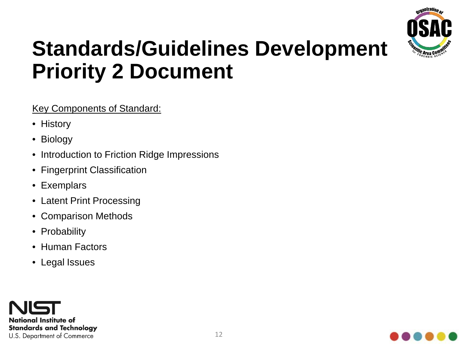

#### **Standards/Guidelines Development Priority 2 Document**

#### Key Components of Standard:

- History
- Biology
- Introduction to Friction Ridge Impressions
- Fingerprint Classification
- Exemplars
- Latent Print Processing
- Comparison Methods
- Probability
- Human Factors
- Legal Issues



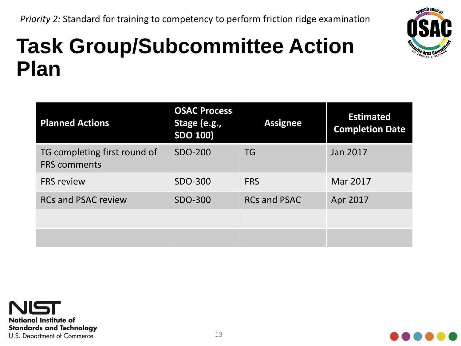

| <b>Planned Actions</b>                              | <b>OSAC Process</b><br>Stage (e.g.,<br><b>SDO 100)</b> | <b>Assignee</b>     | <b>Estimated</b><br><b>Completion Date</b> |
|-----------------------------------------------------|--------------------------------------------------------|---------------------|--------------------------------------------|
| TG completing first round of<br><b>FRS comments</b> | <b>SDO-200</b>                                         | <b>TG</b>           | Jan 2017                                   |
| <b>FRS review</b>                                   | SDO-300                                                | <b>FRS</b>          | Mar 2017                                   |
| <b>RCs and PSAC review</b>                          | SDO-300                                                | <b>RCs and PSAC</b> | Apr 2017                                   |
|                                                     |                                                        |                     |                                            |
|                                                     |                                                        |                     |                                            |



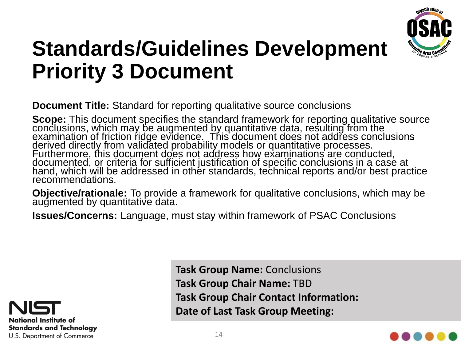

#### **Standards/Guidelines Development Priority 3 Document**

**Document Title:** Standard for reporting qualitative source conclusions

**Scope:** This document specifies the standard framework for reporting qualitative source<br>conclusions, which may be augmented <u>by</u> quantitative data, resulting from the examination of friction ridge evidence. This document does not address conclusions derived directly from validated probability models or quantitative processes. Furthermore, this document does not address how examinations are conducted, documented, or criteria for sufficient justification of specific conclusions in a case at hand, which will be addressed in other standards, technical reports and/or best practice recommendations.

**Objective/rationale:** To provide a framework for qualitative conclusions, which may be augmented by quantitative data.

**Issues/Concerns:** Language, must stay within framework of PSAC Conclusions



**Task Group Name:** Conclusions **Task Group Chair Name:** TBD **Task Group Chair Contact Information: Date of Last Task Group Meeting:**

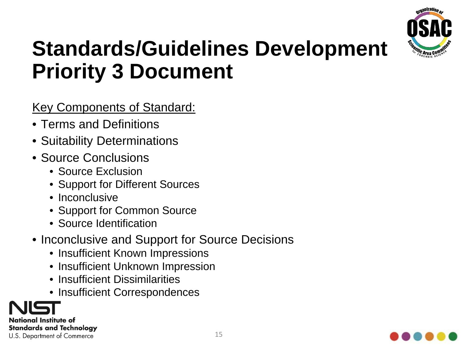

#### **Standards/Guidelines Development Priority 3 Document**

#### Key Components of Standard:

- Terms and Definitions
- Suitability Determinations
- Source Conclusions
	- Source Exclusion
	- Support for Different Sources
	- Inconclusive
	- Support for Common Source
	- Source Identification
- Inconclusive and Support for Source Decisions
	- Insufficient Known Impressions
	- Insufficient Unknown Impression
	- Insufficient Dissimilarities
	- Insufficient Correspondences

National Institute of **Standards and Technology** U.S. Department of Commerce

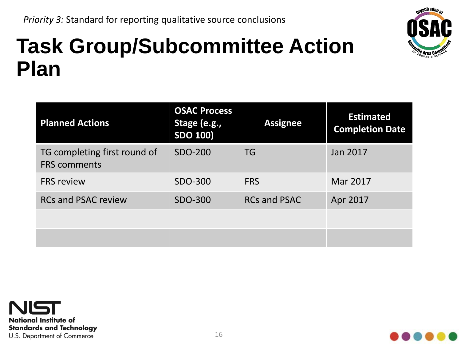

| <b>Planned Actions</b>                              | <b>OSAC Process</b><br>Stage (e.g.,<br><b>SDO 100)</b> | <b>Assignee</b>     | <b>Estimated</b><br><b>Completion Date</b> |
|-----------------------------------------------------|--------------------------------------------------------|---------------------|--------------------------------------------|
| TG completing first round of<br><b>FRS comments</b> | <b>SDO-200</b>                                         | <b>TG</b>           | Jan 2017                                   |
| <b>FRS review</b>                                   | SDO-300                                                | <b>FRS</b>          | Mar 2017                                   |
| <b>RCs and PSAC review</b>                          | SDO-300                                                | <b>RCs and PSAC</b> | Apr 2017                                   |
|                                                     |                                                        |                     |                                            |
|                                                     |                                                        |                     |                                            |



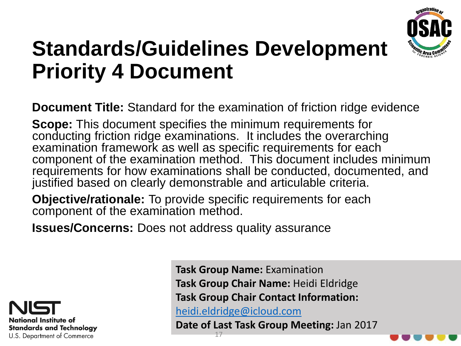

#### **Standards/Guidelines Development Priority 4 Document**

**Document Title:** Standard for the examination of friction ridge evidence

**Scope:** This document specifies the minimum requirements for conducting friction ridge examinations. It includes the overarching examination framework as well as specific requirements for each component of the examination method. This document includes minimum requirements for how examinations shall be conducted, documented, and justified based on clearly demonstrable and articulable criteria.

**Objective/rationale:** To provide specific requirements for each component of the examination method.

**Issues/Concerns:** Does not address quality assurance



**Task Group Name:** Examination **Task Group Chair Name:** Heidi Eldridge **Task Group Chair Contact Information:**  [heidi.eldridge@icloud.com](mailto:heidi.eldridge@icloud.com)

**Date of Last Task Group Meeting:** Jan 2017 17

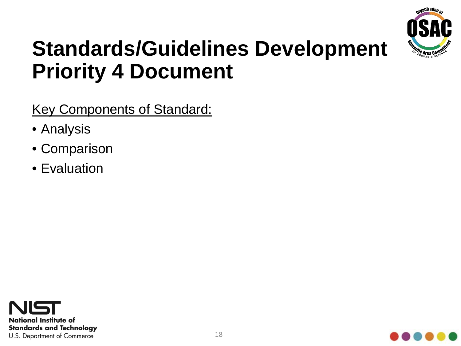

#### **Standards/Guidelines Development Priority 4 Document**

Key Components of Standard:

- Analysis
- Comparison
- Evaluation



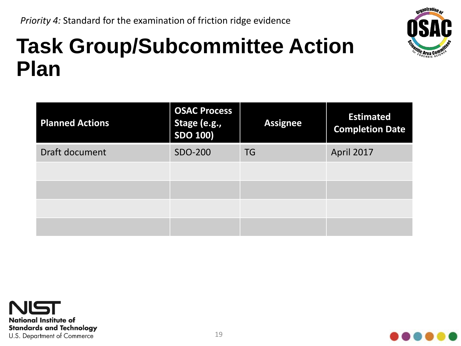

| <b>Planned Actions</b> | <b>OSAC Process</b><br>Stage (e.g.,<br>SDO 100) | <b>Assignee</b> | <b>Estimated</b><br><b>Completion Date</b> |
|------------------------|-------------------------------------------------|-----------------|--------------------------------------------|
| Draft document         | SDO-200                                         | <b>TG</b>       | April 2017                                 |
|                        |                                                 |                 |                                            |
|                        |                                                 |                 |                                            |
|                        |                                                 |                 |                                            |
|                        |                                                 |                 |                                            |



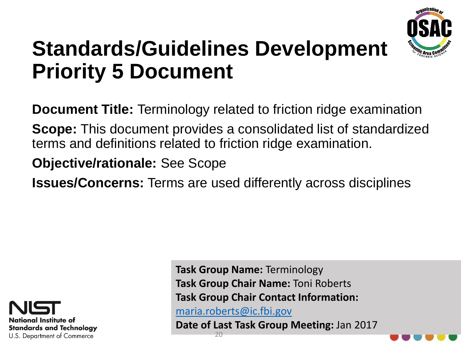

#### **Standards/Guidelines Development Priority 5 Document**

**Document Title:** Terminology related to friction ridge examination

**Scope:** This document provides a consolidated list of standardized terms and definitions related to friction ridge examination.

**Objective/rationale:** See Scope

**Issues/Concerns:** Terms are used differently across disciplines



**Task Group Name:** Terminology **Task Group Chair Name:** Toni Roberts **Task Group Chair Contact Information:**  [maria.roberts@ic.fbi.gov](mailto:maria.roberts@ic.fbi.gov)

**Date of Last Task Group Meeting:** Jan 2017



20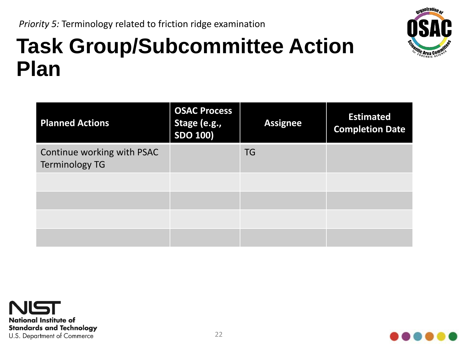

| <b>Planned Actions</b>                              | <b>OSAC Process</b><br>Stage (e.g.,<br><b>SDO 100)</b> | <b>Assignee</b> | <b>Estimated</b><br><b>Completion Date</b> |
|-----------------------------------------------------|--------------------------------------------------------|-----------------|--------------------------------------------|
| Continue working with PSAC<br><b>Terminology TG</b> |                                                        | <b>TG</b>       |                                            |
|                                                     |                                                        |                 |                                            |
|                                                     |                                                        |                 |                                            |
|                                                     |                                                        |                 |                                            |



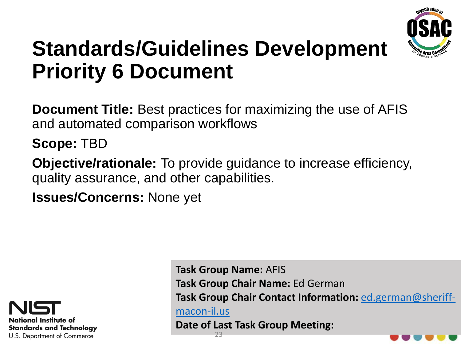

#### **Standards/Guidelines Development Priority 6 Document**

**Document Title:** Best practices for maximizing the use of AFIS and automated comparison workflows

**Scope:** TBD

**Objective/rationale:** To provide guidance to increase efficiency, quality assurance, and other capabilities.

**Issues/Concerns:** None yet



**Task Group Name:** AFIS **Task Group Chair Name:** Ed German **[Task Group Chair Contact Information:](mailto:ed.german@sheriff-macon-il.us)** ed.german@sheriffmacon-il.us **Date of Last Task Group Meeting:**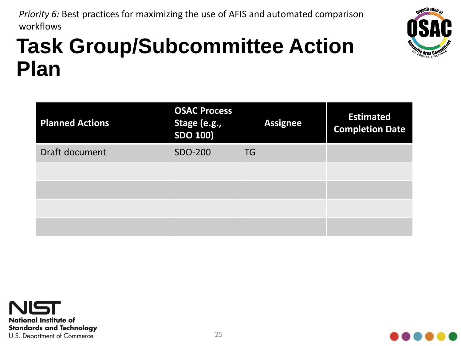*Priority 6:* Best practices for maximizing the use of AFIS and automated comparison workflows



| <b>Planned Actions</b> | <b>OSAC Process</b><br>Stage (e.g.,<br>SDO 100) | <b>Assignee</b> | <b>Estimated</b><br><b>Completion Date</b> |
|------------------------|-------------------------------------------------|-----------------|--------------------------------------------|
| Draft document         | SDO-200                                         | <b>TG</b>       |                                            |
|                        |                                                 |                 |                                            |
|                        |                                                 |                 |                                            |
|                        |                                                 |                 |                                            |
|                        |                                                 |                 |                                            |



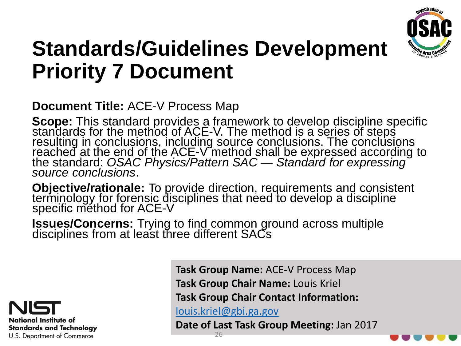

#### **Standards/Guidelines Development Priority 7 Document**

#### **Document Title:** ACE-V Process Map

**Scope:** This standard provides a framework to develop discipline specific standards for the method of ACE-V. The method is a series of steps resulting in conclusions, including source conclusions. The conclusions reached at the end of the ACE-V method shall be expressed according to the standard: *OSAC Physics/Pattern SAC — Standard for expressing source conclu* 

**Objective/rationale:** To provide direction, requirements and consistent<br>terminology for forensic disciplines that need to develop a discipline specific méthod for ACE-V

**Issues/Concerns:** Trying to find common ground across multiple disciplines from at least three different SACs



**Task Group Name:** ACE-V Process Map **Task Group Chair Name:** Louis Kriel **Task Group Chair Contact Information:** 

[louis.kriel@gbi.ga.gov](mailto:louis.kriel@gbi.ga.gov)

**Date of Last Task Group Meeting:** Jan 2017

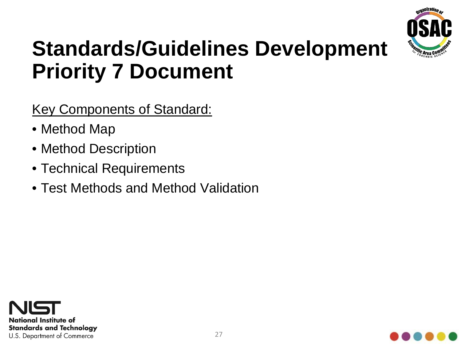

#### **Standards/Guidelines Development Priority 7 Document**

Key Components of Standard:

- Method Map
- Method Description
- Technical Requirements
- Test Methods and Method Validation



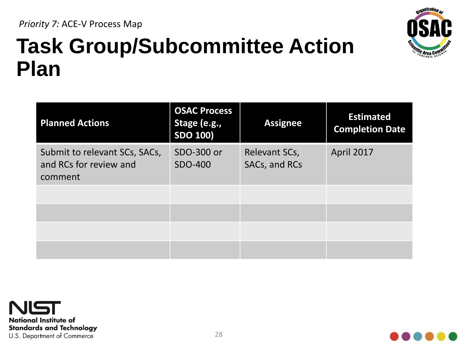

| <b>Planned Actions</b>                                             | <b>OSAC Process</b><br>Stage (e.g.,<br><b>SDO 100)</b> | <b>Assignee</b>                | <b>Estimated</b><br><b>Completion Date</b> |
|--------------------------------------------------------------------|--------------------------------------------------------|--------------------------------|--------------------------------------------|
| Submit to relevant SCs, SACs,<br>and RCs for review and<br>comment | SDO-300 or<br>SDO-400                                  | Relevant SCs,<br>SACs, and RCs | April 2017                                 |
|                                                                    |                                                        |                                |                                            |
|                                                                    |                                                        |                                |                                            |
|                                                                    |                                                        |                                |                                            |

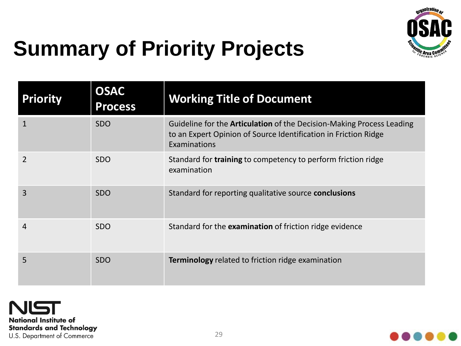

## **Summary of Priority Projects**

| <b>Priority</b> | <b>OSAC</b><br><b>Process</b> | <b>Working Title of Document</b>                                                                                                                                |
|-----------------|-------------------------------|-----------------------------------------------------------------------------------------------------------------------------------------------------------------|
|                 | <b>SDO</b>                    | Guideline for the <b>Articulation</b> of the Decision-Making Process Leading<br>to an Expert Opinion of Source Identification in Friction Ridge<br>Examinations |
| $\overline{2}$  | <b>SDO</b>                    | Standard for <b>training</b> to competency to perform friction ridge<br>examination                                                                             |
| 3               | <b>SDO</b>                    | Standard for reporting qualitative source conclusions                                                                                                           |
| 4               | <b>SDO</b>                    | Standard for the examination of friction ridge evidence                                                                                                         |
| 5               | <b>SDO</b>                    | <b>Terminology</b> related to friction ridge examination                                                                                                        |

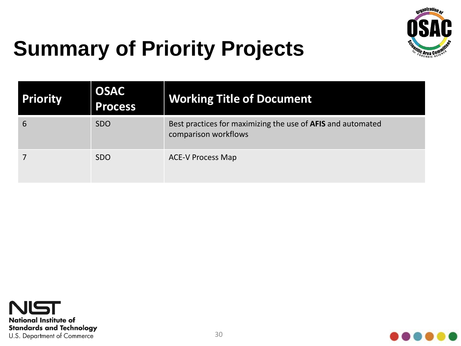

## **Summary of Priority Projects**

| <b>Priority</b> | <b>OSAC</b><br><b>Process</b> | <b>Working Title of Document</b>                                                    |
|-----------------|-------------------------------|-------------------------------------------------------------------------------------|
| 6               | <b>SDO</b>                    | Best practices for maximizing the use of AFIS and automated<br>comparison workflows |
|                 | <b>SDO</b>                    | <b>ACE-V Process Map</b>                                                            |



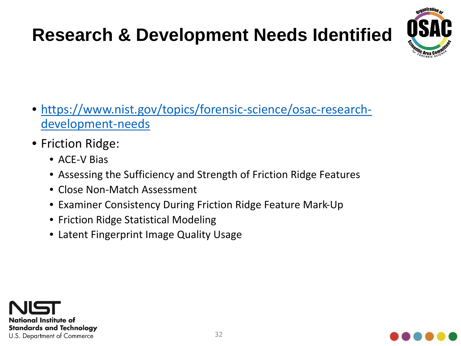#### **Research & Development Needs Identified**



- [https://www.nist.gov/topics/forensic-science/osac-research](https://www.nist.gov/topics/forensic-science/osac-research-development-needs)development-needs
- Friction Ridge:
	- ACE-V Bias
	- Assessing the Sufficiency and Strength of Friction Ridge Features
	- Close Non-Match Assessment
	- Examiner Consistency During Friction Ridge Feature Mark-Up
	- Friction Ridge Statistical Modeling
	- Latent Fingerprint Image Quality Usage